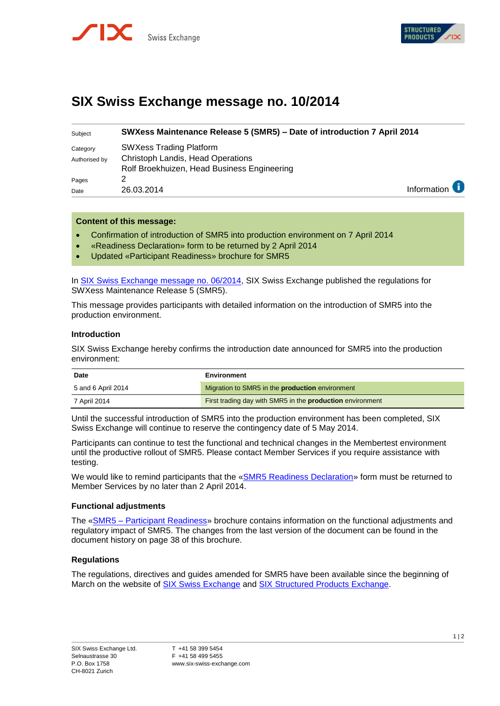



# **SIX Swiss Exchange message no. 10/2014**

| Subject       | SWXess Maintenance Release 5 (SMR5) - Date of introduction 7 April 2014 |                        |
|---------------|-------------------------------------------------------------------------|------------------------|
| Category      | <b>SWXess Trading Platform</b>                                          |                        |
| Authorised by | <b>Christoph Landis, Head Operations</b>                                |                        |
|               | Rolf Broekhuizen, Head Business Engineering                             |                        |
| Pages         |                                                                         |                        |
| Date          | 26.03.2014                                                              | Information $\epsilon$ |

### **Content of this message:**

- Confirmation of introduction of SMR5 into production environment on 7 April 2014
- «Readiness Declaration» form to be returned by 2 April 2014
- Updated «Participant Readiness» brochure for SMR5

In [SIX Swiss Exchange message no. 06/2014,](http://www.six-swiss-exchange.com/swx_messages/online/swx_message_201403031516_en.pdf) SIX Swiss Exchange published the regulations for SWXess Maintenance Release 5 (SMR5).

This message provides participants with detailed information on the introduction of SMR5 into the production environment.

#### **Introduction**

SIX Swiss Exchange hereby confirms the introduction date announced for SMR5 into the production environment:

| <b>Date</b>        | Environment                                                      |
|--------------------|------------------------------------------------------------------|
| 5 and 6 April 2014 | Migration to SMR5 in the <b>production</b> environment           |
| 7 April 2014       | First trading day with SMR5 in the <b>production</b> environment |

Until the successful introduction of SMR5 into the production environment has been completed, SIX Swiss Exchange will continue to reserve the contingency date of 5 May 2014.

Participants can continue to test the functional and technical changes in the Membertest environment until the productive rollout of SMR5. Please contact Member Services if you require assistance with testing.

We would like to remind participants that the [«SMR5 Readiness Declaration»](http://www.six-swiss-exchange.com/download/participants/participation/forms/SMR5_Readiness.pdf) form must be returned to Member Services by no later than 2 April 2014.

#### **Functional adjustments**

The «SMR5 – [Participant Readiness»](http://www.six-swiss-exchange.com/swx_messages/online/swx_message_201401131027_at0_en.pdf) brochure contains information on the functional adjustments and regulatory impact of SMR5. The changes from the last version of the document can be found in the document history on page 38 of this brochure.

#### **Regulations**

The regulations, directives and guides amended for SMR5 have been available since the beginning of March on the website of [SIX Swiss Exchange](http://www.six-swiss-exchange.com/participants/regulation_en.html) and [SIX Structured Products Exchange.](http://www.six-structured-products.com/en/about-us/exchange-trading/trading-rules)